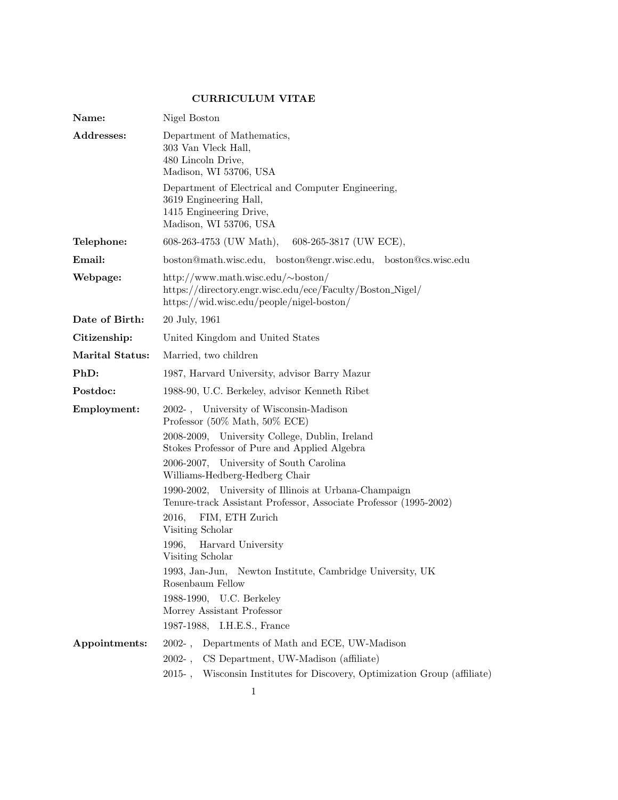## CURRICULUM VITAE

| Name:                  | Nigel Boston                                                                                                                                           |  |  |
|------------------------|--------------------------------------------------------------------------------------------------------------------------------------------------------|--|--|
| Addresses:             | Department of Mathematics,<br>303 Van Vleck Hall,<br>480 Lincoln Drive,<br>Madison, WI 53706, USA                                                      |  |  |
|                        | Department of Electrical and Computer Engineering,<br>3619 Engineering Hall,<br>1415 Engineering Drive,<br>Madison, WI 53706, USA                      |  |  |
| Telephone:             | 608-263-4753 (UW Math),<br>$608-265-3817$ (UW ECE),                                                                                                    |  |  |
| Email:                 | boston@math.wisc.edu, boston@engr.wisc.edu, boston@cs.wisc.edu                                                                                         |  |  |
| Webpage:               | http://www.math.wisc.edu/ $\sim$ boston/<br>https://directory.engr.wisc.edu/ece/Faculty/Boston_Nigel/<br>https://wid.wisc.edu/people/nigel-boston/     |  |  |
| Date of Birth:         | 20 July, 1961                                                                                                                                          |  |  |
| Citizenship:           | United Kingdom and United States                                                                                                                       |  |  |
| <b>Marital Status:</b> | Married, two children                                                                                                                                  |  |  |
| PhD:                   | 1987, Harvard University, advisor Barry Mazur                                                                                                          |  |  |
| Postdoc:               | 1988-90, U.C. Berkeley, advisor Kenneth Ribet                                                                                                          |  |  |
| Employment:            | 2002-, University of Wisconsin-Madison<br>Professor $(50\% \text{ Math}, 50\% \text{ ECE})$                                                            |  |  |
|                        | 2008-2009, University College, Dublin, Ireland<br>Stokes Professor of Pure and Applied Algebra                                                         |  |  |
|                        | 2006-2007, University of South Carolina<br>Williams-Hedberg-Hedberg Chair                                                                              |  |  |
|                        | 1990-2002, University of Illinois at Urbana-Champaign<br>Tenure-track Assistant Professor, Associate Professor (1995-2002)<br>FIM, ETH Zurich<br>2016, |  |  |
|                        | Visiting Scholar                                                                                                                                       |  |  |
|                        | Harvard University<br>1996,<br>Visiting Scholar                                                                                                        |  |  |
|                        | 1993, Jan-Jun, Newton Institute, Cambridge University, UK<br>Rosenbaum Fellow                                                                          |  |  |
|                        | 1988-1990, U.C. Berkeley<br>Morrey Assistant Professor<br>1987-1988, I.H.E.S., France                                                                  |  |  |
| Appointments:          | 2002-, Departments of Math and ECE, UW-Madison                                                                                                         |  |  |
|                        | 2002-, CS Department, UW-Madison (affiliate)                                                                                                           |  |  |
|                        | 2015-, Wisconsin Institutes for Discovery, Optimization Group (affiliate)                                                                              |  |  |
|                        | $\mathbf 1$                                                                                                                                            |  |  |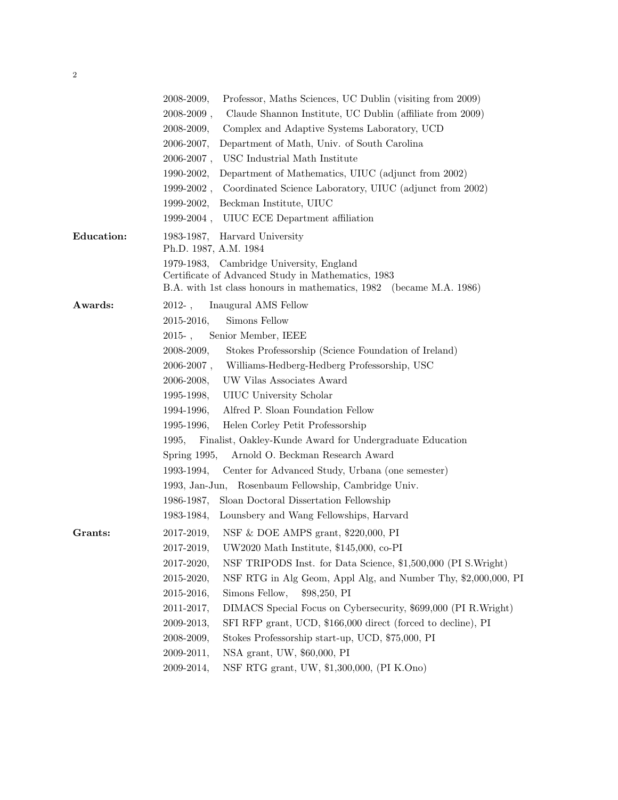| ٠, |  |
|----|--|
|    |  |

|                   | Professor, Maths Sciences, UC Dublin (visiting from 2009)<br>$2008 - 2009,$      |
|-------------------|----------------------------------------------------------------------------------|
|                   | $2008 - 2009$ ,<br>Claude Shannon Institute, UC Dublin (affiliate from 2009)     |
|                   | 2008-2009,<br>Complex and Adaptive Systems Laboratory, UCD                       |
|                   | 2006-2007,<br>Department of Math, Univ. of South Carolina                        |
|                   | USC Industrial Math Institute<br>$2006 - 2007$ ,                                 |
|                   | Department of Mathematics, UIUC (adjunct from 2002)<br>1990-2002,                |
|                   | Coordinated Science Laboratory, UIUC (adjunct from 2002)<br>$1999 - 2002$ ,      |
|                   | Beckman Institute, UIUC<br>1999-2002,                                            |
|                   | 1999-2004, UIUC ECE Department affiliation                                       |
| <b>Education:</b> | 1983-1987, Harvard University<br>Ph.D. 1987, A.M. 1984                           |
|                   | 1979-1983, Cambridge University, England                                         |
|                   | Certificate of Advanced Study in Mathematics, 1983                               |
|                   | B.A. with 1st class honours in mathematics, 1982 (became M.A. 1986)              |
| Awards:           | 2012-, Inaugural AMS Fellow                                                      |
|                   | Simons Fellow<br>2015-2016,                                                      |
|                   | 2015-, Senior Member, IEEE                                                       |
|                   | 2008-2009,<br>Stokes Professorship (Science Foundation of Ireland)               |
|                   | $2006 - 2007$ ,<br>Williams-Hedberg-Hedberg Professorship, USC                   |
|                   | UW Vilas Associates Award<br>2006-2008,                                          |
|                   | 1995-1998,<br>UIUC University Scholar                                            |
|                   | 1994-1996,<br>Alfred P. Sloan Foundation Fellow                                  |
|                   | 1995-1996,<br>Helen Corley Petit Professorship                                   |
|                   | Finalist, Oakley-Kunde Award for Undergraduate Education<br>1995,                |
|                   | Arnold O. Beckman Research Award<br>Spring $1995$ ,                              |
|                   | 1993-1994, Center for Advanced Study, Urbana (one semester)                      |
|                   | 1993, Jan-Jun, Rosenbaum Fellowship, Cambridge Univ.                             |
|                   | 1986-1987,<br>Sloan Doctoral Dissertation Fellowship                             |
|                   | Lounsbery and Wang Fellowships, Harvard<br>1983-1984,                            |
| Grants:           | NSF & DOE AMPS grant, $$220,000$ , PI<br>2017-2019,                              |
|                   | 2017-2019,<br>UW2020 Math Institute, \$145,000, co-PI                            |
|                   | 2017-2020,<br>NSF TRIPODS Inst. for Data Science, \$1,500,000 (PI S. Wright)     |
|                   | NSF RTG in Alg Geom, Appl Alg, and Number Thy, \$2,000,000, PI<br>$2015 - 2020,$ |
|                   | Simons Fellow,<br>$2015 - 2016,$<br>\$98,250, P1                                 |
|                   | 2011-2017,<br>DIMACS Special Focus on Cybersecurity, \$699,000 (PI R. Wright)    |
|                   | SFI RFP grant, UCD, \$166,000 direct (forced to decline), PI<br>$2009 - 2013,$   |
|                   | Stokes Professorship start-up, UCD, \$75,000, PI<br>2008-2009,                   |
|                   | NSA grant, UW, \$60,000, PI<br>$2009 - 2011,$                                    |
|                   | NSF RTG grant, UW, \$1,300,000, (PI K.Ono)<br>2009-2014,                         |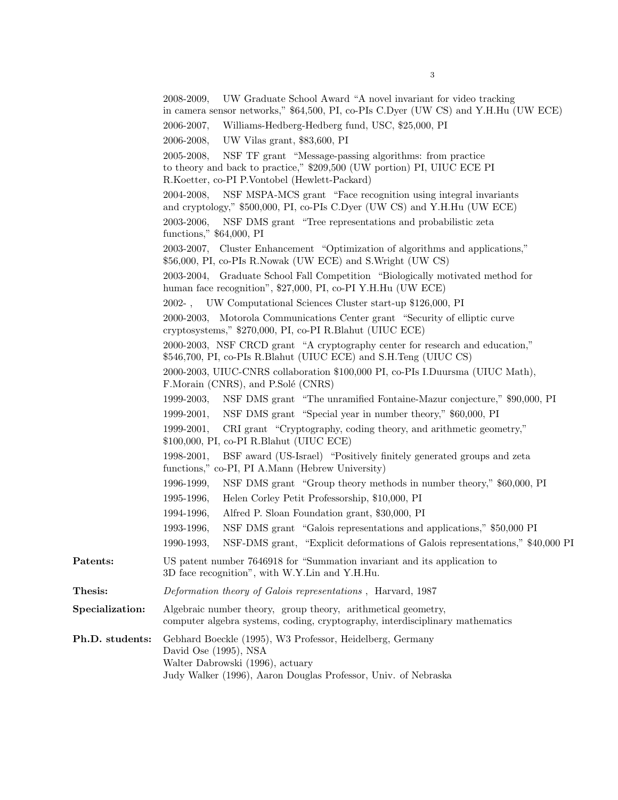|                 | UW Graduate School Award "A novel invariant for video tracking<br>2008-2009,<br>in camera sensor networks," \$64,500, PI, co-PIs C.Dyer (UW CS) and Y.H.Hu (UW ECE)                               |
|-----------------|---------------------------------------------------------------------------------------------------------------------------------------------------------------------------------------------------|
|                 | Williams-Hedberg-Hedberg fund, USC, \$25,000, PI<br>$2006 - 2007$ ,                                                                                                                               |
|                 | 2006-2008,<br>UW Vilas grant, \$83,600, PI                                                                                                                                                        |
|                 | NSF TF grant "Message-passing algorithms: from practice<br>2005-2008,<br>to theory and back to practice," \$209,500 (UW portion) PI, UIUC ECE PI<br>R.Koetter, co-PI P.Vontobel (Hewlett-Packard) |
|                 | NSF MSPA-MCS grant "Face recognition using integral invariants"<br>2004-2008.<br>and cryptology," \$500,000, PI, co-PIs C.Dyer (UW CS) and Y.H.Hu (UW ECE)                                        |
|                 | NSF DMS grant "Tree representations and probabilistic zeta<br>2003-2006,<br>functions," \$64,000, PI                                                                                              |
|                 | 2003-2007, Cluster Enhancement "Optimization of algorithms and applications,"<br>\$56,000, PI, co-PIs R.Nowak (UW ECE) and S.Wright (UW CS)                                                       |
|                 | 2003-2004, Graduate School Fall Competition "Biologically motivated method for<br>human face recognition", \$27,000, PI, co-PI Y.H.Hu (UW ECE)                                                    |
|                 | 2002-, UW Computational Sciences Cluster start-up \$126,000, PI                                                                                                                                   |
|                 | 2000-2003, Motorola Communications Center grant "Security of elliptic curve<br>cryptosystems," \$270,000, PI, co-PI R.Blahut (UIUC ECE)                                                           |
|                 | 2000-2003, NSF CRCD grant "A cryptography center for research and education,"<br>\$546,700, PI, co-PIs R.Blahut (UIUC ECE) and S.H.Teng (UIUC CS)                                                 |
|                 | 2000-2003, UIUC-CNRS collaboration \$100,000 PI, co-PIs I.Duursma (UIUC Math),<br>F.Morain (CNRS), and P.Solé (CNRS)                                                                              |
|                 | 1999-2003,<br>NSF DMS grant "The unramified Fontaine-Mazur conjecture," \$90,000, PI                                                                                                              |
|                 | NSF DMS grant "Special year in number theory," \$60,000, PI<br>$1999 - 2001,$                                                                                                                     |
|                 | $1999 - 2001,$<br>CRI grant "Cryptography, coding theory, and arithmetic geometry,"<br>$$100,000,$ PI, co-PI R.Blahut (UIUC ECE)                                                                  |
|                 | BSF award (US-Israel) "Positively finitely generated groups and zeta<br>$1998 - 2001,$<br>functions," co-PI, PI A.Mann (Hebrew University)                                                        |
|                 | 1996-1999,<br>NSF DMS grant "Group theory methods in number theory," \$60,000, PI                                                                                                                 |
|                 | Helen Corley Petit Professorship, \$10,000, PI<br>1995-1996,                                                                                                                                      |
|                 | 1994-1996,<br>Alfred P. Sloan Foundation grant, \$30,000, PI                                                                                                                                      |
|                 | 1993-1996,<br>NSF DMS grant "Galois representations and applications," \$50,000 PI                                                                                                                |
|                 | NSF-DMS grant, "Explicit deformations of Galois representations," \$40,000 PI<br>1990-1993,                                                                                                       |
| Patents:        | US patent number 7646918 for "Summation invariant and its application to<br>3D face recognition", with W.Y.Lin and Y.H.Hu.                                                                        |
| Thesis:         | Deformation theory of Galois representations, Harvard, 1987                                                                                                                                       |
| Specialization: | Algebraic number theory, group theory, arithmetical geometry,<br>computer algebra systems, coding, cryptography, interdisciplinary mathematics                                                    |
| Ph.D. students: | Gebhard Boeckle (1995), W3 Professor, Heidelberg, Germany<br>David Ose (1995), NSA<br>Walter Dabrowski (1996), actuary<br>Judy Walker (1996), Aaron Douglas Professor, Univ. of Nebraska          |

3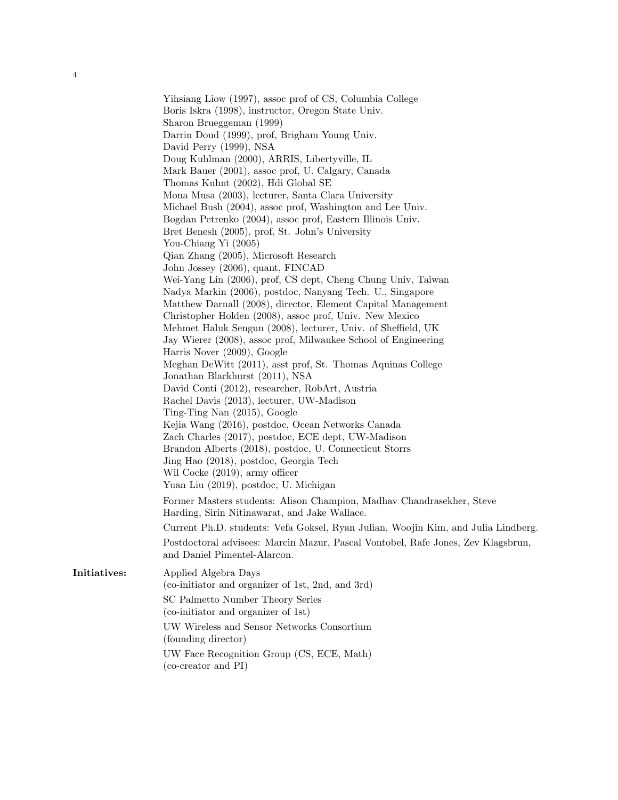Yihsiang Liow (1997), assoc prof of CS, Columbia College Boris Iskra (1998), instructor, Oregon State Univ. Sharon Brueggeman (1999) Darrin Doud (1999), prof, Brigham Young Univ. David Perry (1999), NSA Doug Kuhlman (2000), ARRIS, Libertyville, IL Mark Bauer (2001), assoc prof, U. Calgary, Canada Thomas Kuhnt (2002), Hdi Global SE Mona Musa (2003), lecturer, Santa Clara University Michael Bush (2004), assoc prof, Washington and Lee Univ. Bogdan Petrenko (2004), assoc prof, Eastern Illinois Univ. Bret Benesh (2005), prof, St. John's University You-Chiang Yi (2005) Qian Zhang (2005), Microsoft Research John Jossey (2006), quant, FINCAD Wei-Yang Lin (2006), prof, CS dept, Cheng Chung Univ, Taiwan Nadya Markin (2006), postdoc, Nanyang Tech. U., Singapore Matthew Darnall (2008), director, Element Capital Management Christopher Holden (2008), assoc prof, Univ. New Mexico Mehmet Haluk Sengun (2008), lecturer, Univ. of Sheffield, UK Jay Wierer (2008), assoc prof, Milwaukee School of Engineering Harris Nover (2009), Google Meghan DeWitt (2011), asst prof, St. Thomas Aquinas College Jonathan Blackhurst (2011), NSA David Conti (2012), researcher, RobArt, Austria Rachel Davis (2013), lecturer, UW-Madison Ting-Ting Nan (2015), Google Kejia Wang (2016), postdoc, Ocean Networks Canada Zach Charles (2017), postdoc, ECE dept, UW-Madison Brandon Alberts (2018), postdoc, U. Connecticut Storrs Jing Hao (2018), postdoc, Georgia Tech Wil Cocke (2019), army officer Yuan Liu (2019), postdoc, U. Michigan Former Masters students: Alison Champion, Madhav Chandrasekher, Steve Harding, Sirin Nitinawarat, and Jake Wallace. Current Ph.D. students: Vefa Goksel, Ryan Julian, Woojin Kim, and Julia Lindberg. Postdoctoral advisees: Marcin Mazur, Pascal Vontobel, Rafe Jones, Zev Klagsbrun, and Daniel Pimentel-Alarcon.

Initiatives: Applied Algebra Days (co-initiator and organizer of 1st, 2nd, and 3rd)

4

SC Palmetto Number Theory Series (co-initiator and organizer of 1st)

UW Wireless and Sensor Networks Consortium (founding director)

UW Face Recognition Group (CS, ECE, Math) (co-creator and PI)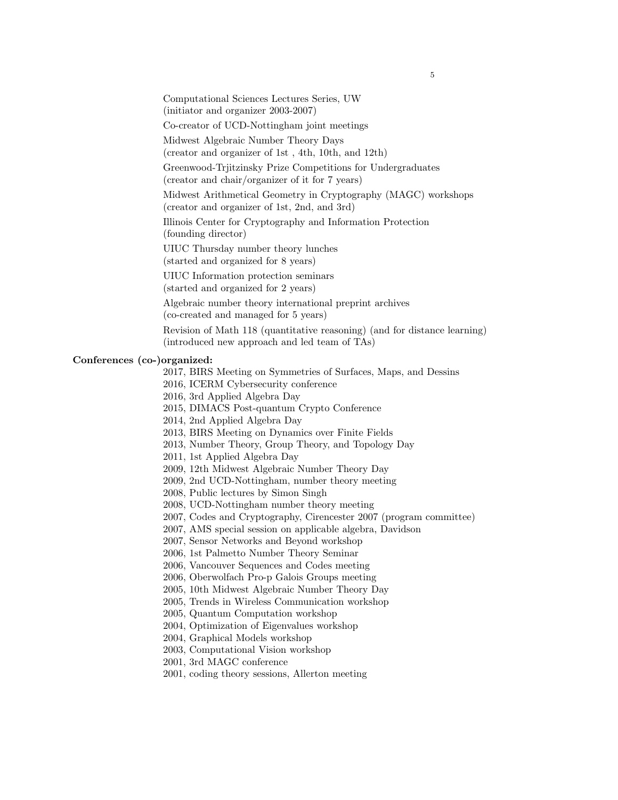Computational Sciences Lectures Series, UW

(initiator and organizer 2003-2007)

Co-creator of UCD-Nottingham joint meetings

Midwest Algebraic Number Theory Days

(creator and organizer of 1st , 4th, 10th, and 12th)

Greenwood-Trjitzinsky Prize Competitions for Undergraduates

(creator and chair/organizer of it for 7 years)

Midwest Arithmetical Geometry in Cryptography (MAGC) workshops (creator and organizer of 1st, 2nd, and 3rd)

Illinois Center for Cryptography and Information Protection (founding director)

UIUC Thursday number theory lunches (started and organized for 8 years)

UIUC Information protection seminars (started and organized for 2 years)

Algebraic number theory international preprint archives

(co-created and managed for 5 years)

Revision of Math 118 (quantitative reasoning) (and for distance learning) (introduced new approach and led team of TAs)

## Conferences (co-)organized:

2017, BIRS Meeting on Symmetries of Surfaces, Maps, and Dessins

2016, ICERM Cybersecurity conference

2016, 3rd Applied Algebra Day

2015, DIMACS Post-quantum Crypto Conference

2014, 2nd Applied Algebra Day

2013, BIRS Meeting on Dynamics over Finite Fields

2013, Number Theory, Group Theory, and Topology Day

2011, 1st Applied Algebra Day

2009, 12th Midwest Algebraic Number Theory Day

2009, 2nd UCD-Nottingham, number theory meeting

2008, Public lectures by Simon Singh

2008, UCD-Nottingham number theory meeting

2007, Codes and Cryptography, Cirencester 2007 (program committee)

2007, AMS special session on applicable algebra, Davidson

2007, Sensor Networks and Beyond workshop

2006, 1st Palmetto Number Theory Seminar

2006, Vancouver Sequences and Codes meeting

2006, Oberwolfach Pro-p Galois Groups meeting

2005, 10th Midwest Algebraic Number Theory Day

2005, Trends in Wireless Communication workshop

2005, Quantum Computation workshop

2004, Optimization of Eigenvalues workshop

2004, Graphical Models workshop

2003, Computational Vision workshop

2001, 3rd MAGC conference

2001, coding theory sessions, Allerton meeting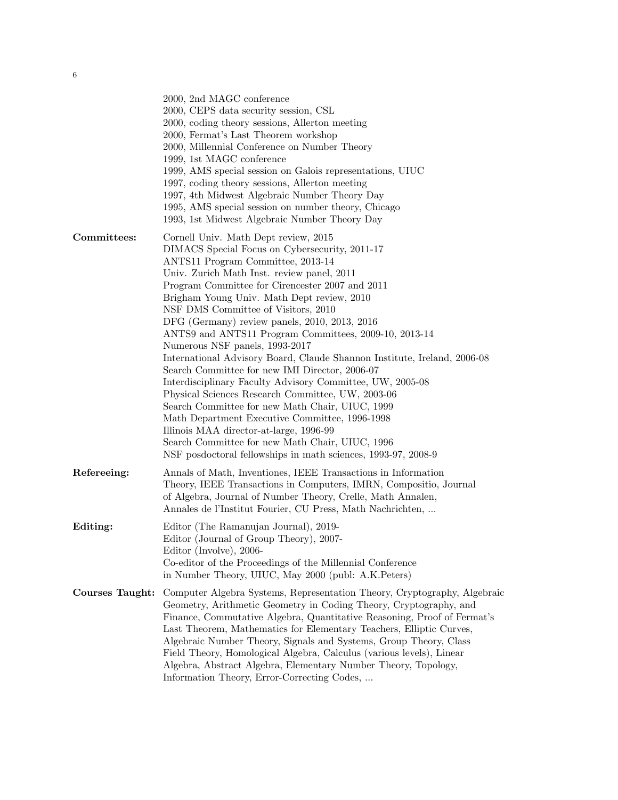|                        | 2000, 2nd MAGC conference<br>2000, CEPS data security session, CSL<br>2000, coding theory sessions, Allerton meeting<br>2000, Fermat's Last Theorem workshop<br>2000, Millennial Conference on Number Theory<br>1999, 1st MAGC conference<br>1999, AMS special session on Galois representations, UIUC<br>1997, coding theory sessions, Allerton meeting<br>1997, 4th Midwest Algebraic Number Theory Day<br>1995, AMS special session on number theory, Chicago<br>1993, 1st Midwest Algebraic Number Theory Day                                                                                                                                                                                                                                                                                                                                                                                                                                                                 |  |
|------------------------|-----------------------------------------------------------------------------------------------------------------------------------------------------------------------------------------------------------------------------------------------------------------------------------------------------------------------------------------------------------------------------------------------------------------------------------------------------------------------------------------------------------------------------------------------------------------------------------------------------------------------------------------------------------------------------------------------------------------------------------------------------------------------------------------------------------------------------------------------------------------------------------------------------------------------------------------------------------------------------------|--|
| Committees:            | Cornell Univ. Math Dept review, 2015<br>DIMACS Special Focus on Cybersecurity, 2011-17<br>ANTS11 Program Committee, 2013-14<br>Univ. Zurich Math Inst. review panel, 2011<br>Program Committee for Cirencester 2007 and 2011<br>Brigham Young Univ. Math Dept review, 2010<br>NSF DMS Committee of Visitors, 2010<br>DFG (Germany) review panels, 2010, 2013, 2016<br>ANTS9 and ANTS11 Program Committees, 2009-10, 2013-14<br>Numerous NSF panels, 1993-2017<br>International Advisory Board, Claude Shannon Institute, Ireland, 2006-08<br>Search Committee for new IMI Director, 2006-07<br>Interdisciplinary Faculty Advisory Committee, UW, 2005-08<br>Physical Sciences Research Committee, UW, 2003-06<br>Search Committee for new Math Chair, UIUC, 1999<br>Math Department Executive Committee, 1996-1998<br>Illinois MAA director-at-large, 1996-99<br>Search Committee for new Math Chair, UIUC, 1996<br>NSF posdoctoral fellowships in math sciences, 1993-97, 2008-9 |  |
| Refereeing:            | Annals of Math, Inventiones, IEEE Transactions in Information<br>Theory, IEEE Transactions in Computers, IMRN, Compositio, Journal<br>of Algebra, Journal of Number Theory, Crelle, Math Annalen,<br>Annales de l'Institut Fourier, CU Press, Math Nachrichten,                                                                                                                                                                                                                                                                                                                                                                                                                                                                                                                                                                                                                                                                                                                   |  |
| Editing:               | Editor (The Ramanujan Journal), 2019-<br>Editor (Journal of Group Theory), 2007-<br>Editor (Involve), 2006-<br>Co-editor of the Proceedings of the Millennial Conference<br>in Number Theory, UIUC, May 2000 (publ: A.K.Peters)                                                                                                                                                                                                                                                                                                                                                                                                                                                                                                                                                                                                                                                                                                                                                   |  |
| <b>Courses Taught:</b> | Computer Algebra Systems, Representation Theory, Cryptography, Algebraic<br>Geometry, Arithmetic Geometry in Coding Theory, Cryptography, and<br>Finance, Commutative Algebra, Quantitative Reasoning, Proof of Fermat's<br>Last Theorem, Mathematics for Elementary Teachers, Elliptic Curves,<br>Algebraic Number Theory, Signals and Systems, Group Theory, Class<br>Field Theory, Homological Algebra, Calculus (various levels), Linear<br>Algebra, Abstract Algebra, Elementary Number Theory, Topology,<br>Information Theory, Error-Correcting Codes,                                                                                                                                                                                                                                                                                                                                                                                                                     |  |
|                        |                                                                                                                                                                                                                                                                                                                                                                                                                                                                                                                                                                                                                                                                                                                                                                                                                                                                                                                                                                                   |  |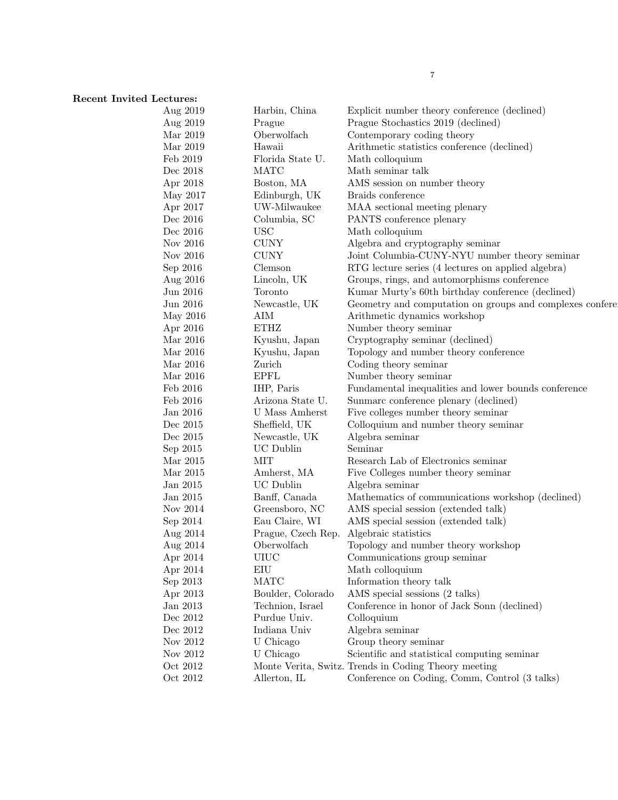## Recent Invited Lectures:<br>Aug 201

| Aug 2019             | Harbin, China        | Explicit number theory conference (declined)                                                      |
|----------------------|----------------------|---------------------------------------------------------------------------------------------------|
| Aug 2019             | Prague               | Prague Stochastics 2019 (declined)                                                                |
| Mar 2019             | Oberwolfach          | Contemporary coding theory                                                                        |
| Mar 2019             | Hawaii               | Arithmetic statistics conference (declined)                                                       |
| Feb 2019             | Florida State U.     | Math colloquium                                                                                   |
| Dec 2018             | <b>MATC</b>          | Math seminar talk                                                                                 |
| Apr 2018             | Boston, MA           | AMS session on number theory                                                                      |
| May 2017             | Edinburgh, UK        | Braids conference                                                                                 |
| Apr 2017             | UW-Milwaukee         | MAA sectional meeting plenary                                                                     |
| Dec 2016             | Columbia, SC         | PANTS conference plenary                                                                          |
| Dec 2016             | <b>USC</b>           | Math colloquium                                                                                   |
| Nov 2016             | <b>CUNY</b>          | Algebra and cryptography seminar                                                                  |
| Nov 2016             | <b>CUNY</b>          | Joint Columbia-CUNY-NYU number theory seminar                                                     |
|                      | Clemson              |                                                                                                   |
| Sep 2016<br>Aug 2016 | Lincoln, UK          | RTG lecture series (4 lectures on applied algebra)<br>Groups, rings, and automorphisms conference |
| Jun 2016             | Toronto              | Kumar Murty's 60th birthday conference (declined)                                                 |
| Jun 2016             |                      | Geometry and computation on groups and complexes confere                                          |
|                      | Newcastle, UK<br>AIM |                                                                                                   |
| May 2016             | <b>ETHZ</b>          | Arithmetic dynamics workshop                                                                      |
| Apr 2016             |                      | Number theory seminar                                                                             |
| Mar 2016             | Kyushu, Japan        | Cryptography seminar (declined)                                                                   |
| Mar 2016             | Kyushu, Japan        | Topology and number theory conference                                                             |
| Mar 2016             | Zurich               | Coding theory seminar                                                                             |
| Mar 2016             | <b>EPFL</b>          | Number theory seminar                                                                             |
| Feb 2016             | IHP, Paris           | Fundamental inequalities and lower bounds conference                                              |
| Feb 2016             | Arizona State U.     | Sunmarc conference plenary (declined)                                                             |
| Jan 2016             | U Mass Amherst       | Five colleges number theory seminar                                                               |
| Dec 2015             | Sheffield, UK        | Colloquium and number theory seminar                                                              |
| Dec 2015             | Newcastle, UK        | Algebra seminar                                                                                   |
| Sep 2015             | <b>UC</b> Dublin     | Seminar                                                                                           |
| Mar 2015             | MIT                  | Research Lab of Electronics seminar                                                               |
| Mar 2015             | Amherst, MA          | Five Colleges number theory seminar                                                               |
| Jan 2015             | UC Dublin            | Algebra seminar                                                                                   |
| Jan 2015             | Banff, Canada        | Mathematics of communications workshop (declined)                                                 |
| Nov 2014             | Greensboro, NC       | AMS special session (extended talk)                                                               |
| Sep 2014             | Eau Claire, WI       | AMS special session (extended talk)                                                               |
| Aug 2014             | Prague, Czech Rep.   | Algebraic statistics                                                                              |
| Aug 2014             | Oberwolfach          | Topology and number theory workshop                                                               |
| Apr 2014             | <b>UIUC</b>          | Communications group seminar                                                                      |
| Apr 2014             | EIU                  | Math colloquium                                                                                   |
| Sep 2013             | <b>MATC</b>          | Information theory talk                                                                           |
| Apr 2013             | Boulder, Colorado    | AMS special sessions (2 talks)                                                                    |
| Jan 2013             | Technion, Israel     | Conference in honor of Jack Sonn (declined)                                                       |
| Dec 2012             | Purdue Univ.         | Colloquium                                                                                        |
| Dec 2012             | Indiana Univ         | Algebra seminar                                                                                   |
| Nov 2012             | U Chicago            | Group theory seminar                                                                              |
| Nov 2012             | U Chicago            | Scientific and statistical computing seminar                                                      |
| Oct 2012             |                      | Monte Verita, Switz. Trends in Coding Theory meeting                                              |
| Oct 2012             | Allerton, IL         | Conference on Coding, Comm, Control (3 talks)                                                     |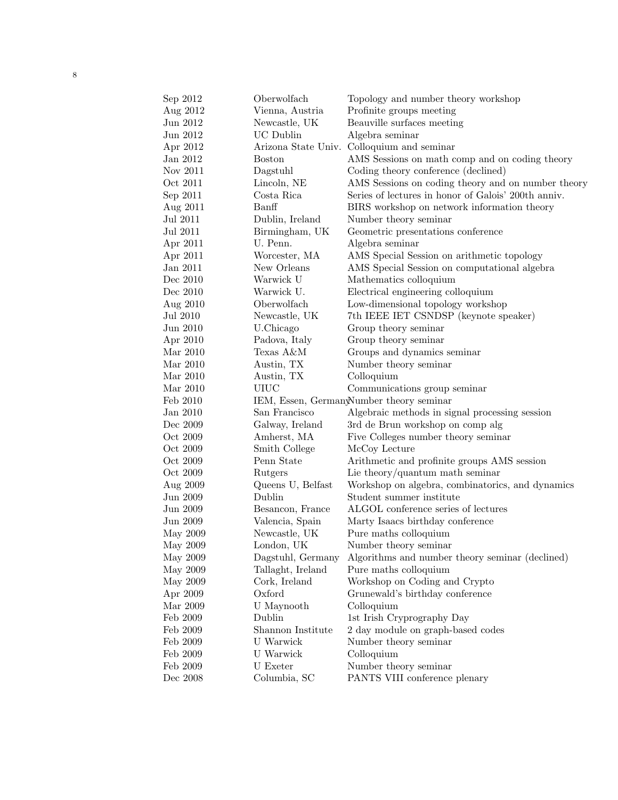| Sep 2012 | Oberwolfach         | Topology and number theory workshop                 |
|----------|---------------------|-----------------------------------------------------|
| Aug 2012 | Vienna, Austria     | Profinite groups meeting                            |
| Jun 2012 | Newcastle, UK       | Beauville surfaces meeting                          |
| Jun 2012 | <b>UC</b> Dublin    | Algebra seminar                                     |
| Apr 2012 | Arizona State Univ. | Colloquium and seminar                              |
| Jan 2012 | <b>Boston</b>       | AMS Sessions on math comp and on coding theory      |
| Nov 2011 | Dagstuhl            | Coding theory conference (declined)                 |
| Oct 2011 | Lincoln, NE         | AMS Sessions on coding theory and on number theory  |
| Sep 2011 | Costa Rica          | Series of lectures in honor of Galois' 200th anniv. |
| Aug 2011 | Banff               | BIRS workshop on network information theory         |
| Jul 2011 | Dublin, Ireland     | Number theory seminar                               |
| Jul 2011 | Birmingham, UK      | Geometric presentations conference                  |
| Apr 2011 | U. Penn.            | Algebra seminar                                     |
| Apr 2011 | Worcester, MA       | AMS Special Session on arithmetic topology          |
| Jan 2011 | New Orleans         | AMS Special Session on computational algebra        |
| Dec 2010 | Warwick U           | Mathematics colloquium                              |
| Dec 2010 | Warwick U.          | Electrical engineering colloquium                   |
| Aug 2010 | Oberwolfach         | Low-dimensional topology workshop                   |
| Jul 2010 | Newcastle, UK       | 7th IEEE IET CSNDSP (keynote speaker)               |
| Jun 2010 | U.Chicago           | Group theory seminar                                |
| Apr 2010 | Padova, Italy       | Group theory seminar                                |
| Mar 2010 | Texas A&M           | Groups and dynamics seminar                         |
| Mar 2010 | Austin, TX          | Number theory seminar                               |
| Mar 2010 | Austin, TX          | Colloquium                                          |
| Mar 2010 | <b>UIUC</b>         | Communications group seminar                        |
| Feb 2010 |                     | IEM, Essen, GermanyNumber theory seminar            |
| Jan 2010 | San Francisco       | Algebraic methods in signal processing session      |
| Dec 2009 | Galway, Ireland     | 3rd de Brun workshop on comp alg                    |
| Oct 2009 | Amherst, MA         | Five Colleges number theory seminar                 |
| Oct 2009 | Smith College       | McCoy Lecture                                       |
| Oct 2009 | Penn State          | Arithmetic and profinite groups AMS session         |
| Oct 2009 | Rutgers             | Lie theory/quantum math seminar                     |
| Aug 2009 | Queens U, Belfast   | Workshop on algebra, combinatorics, and dynamics    |
| Jun 2009 | Dublin              | Student summer institute                            |
| Jun 2009 | Besancon, France    | ALGOL conference series of lectures                 |
| Jun 2009 | Valencia, Spain     | Marty Isaacs birthday conference                    |
| May 2009 | Newcastle, UK       | Pure maths colloquium                               |
| May 2009 | London, UK          | Number theory seminar                               |
| May 2009 | Dagstuhl, Germany   | Algorithms and number theory seminar (declined)     |
| May 2009 | Tallaght, Ireland   | Pure maths colloquium                               |
| May 2009 | Cork, Ireland       | Workshop on Coding and Crypto                       |
| Apr 2009 | Oxford              | Grunewald's birthday conference                     |
| Mar 2009 | U Maynooth          | Colloquium                                          |
| Feb 2009 | Dublin              | 1st Irish Cryprography Day                          |
| Feb 2009 | Shannon Institute   | 2 day module on graph-based codes                   |
| Feb 2009 | U Warwick           | Number theory seminar                               |
| Feb 2009 | U Warwick           | Colloquium                                          |
| Feb 2009 | U Exeter            | Number theory seminar                               |
| Dec 2008 | Columbia, SC        | PANTS VIII conference plenary                       |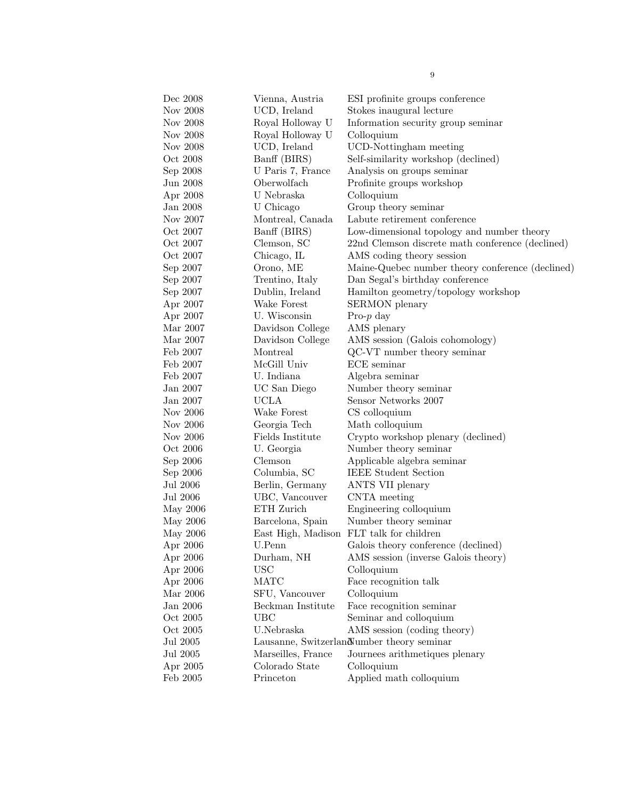| Dec 2008 | Vienna, Austria    | ESI profinite groups conference                  |
|----------|--------------------|--------------------------------------------------|
| Nov 2008 | UCD, Ireland       | Stokes inaugural lecture                         |
| Nov 2008 | Royal Holloway U   | Information security group seminar               |
| Nov 2008 | Royal Holloway U   | Colloquium                                       |
| Nov 2008 | UCD, Ireland       | UCD-Nottingham meeting                           |
| Oct 2008 | Banff (BIRS)       | Self-similarity workshop (declined)              |
| Sep 2008 | U Paris 7, France  | Analysis on groups seminar                       |
| Jun 2008 | Oberwolfach        | Profinite groups workshop                        |
| Apr 2008 | U Nebraska         | Colloquium                                       |
| Jan 2008 | U Chicago          | Group theory seminar                             |
| Nov 2007 | Montreal, Canada   | Labute retirement conference                     |
| Oct 2007 | Banff (BIRS)       | Low-dimensional topology and number theory       |
| Oct 2007 | Clemson, SC        | 22nd Clemson discrete math conference (declined) |
| Oct 2007 | Chicago, IL        | AMS coding theory session                        |
| Sep 2007 | Orono, ME          | Maine-Quebec number theory conference (declined) |
| Sep 2007 | Trentino, Italy    | Dan Segal's birthday conference                  |
| Sep 2007 | Dublin, Ireland    | Hamilton geometry/topology workshop              |
| Apr 2007 | Wake Forest        | <b>SERMON</b> plenary                            |
| Apr 2007 | U. Wisconsin       | Pro- $p$ day                                     |
| Mar 2007 | Davidson College   | AMS plenary                                      |
| Mar 2007 | Davidson College   | AMS session (Galois cohomology)                  |
| Feb 2007 | Montreal           | QC-VT number theory seminar                      |
| Feb 2007 | McGill Univ        | ECE seminar                                      |
| Feb 2007 | U. Indiana         | Algebra seminar                                  |
| Jan 2007 | UC San Diego       | Number theory seminar                            |
| Jan 2007 | <b>UCLA</b>        | Sensor Networks 2007                             |
| Nov 2006 | Wake Forest        | CS colloquium                                    |
| Nov 2006 | Georgia Tech       | Math colloquium                                  |
| Nov 2006 | Fields Institute   | Crypto workshop plenary (declined)               |
| Oct 2006 | U. Georgia         | Number theory seminar                            |
| Sep 2006 | Clemson            | Applicable algebra seminar                       |
| Sep 2006 | Columbia, SC       | <b>IEEE Student Section</b>                      |
| Jul 2006 | Berlin, Germany    | ANTS VII plenary                                 |
| Jul 2006 | UBC, Vancouver     | CNTA meeting                                     |
| May 2006 | ETH Zurich         | Engineering colloquium                           |
| May 2006 | Barcelona, Spain   | Number theory seminar                            |
| May 2006 | East High, Madison | FLT talk for children                            |
| Apr 2006 | U.Penn             | Galois theory conference (declined)              |
| Apr 2006 | Durham, NH         | AMS session (inverse Galois theory)              |
| Apr 2006 | <b>USC</b>         | Colloquium                                       |
| Apr 2006 | <b>MATC</b>        | Face recognition talk                            |
| Mar 2006 | SFU, Vancouver     | Colloquium                                       |
| Jan 2006 | Beckman Institute  | Face recognition seminar                         |
| Oct 2005 | <b>UBC</b>         | Seminar and colloquium                           |
| Oct 2005 | U.Nebraska         | AMS session (coding theory)                      |
| Jul 2005 |                    | Lausanne, Switzerland umber theory seminar       |
| Jul 2005 | Marseilles, France | Journees arithmetiques plenary                   |
| Apr 2005 | Colorado State     | Colloquium                                       |
| Feb 2005 | Princeton          | Applied math colloquium                          |
|          |                    |                                                  |

9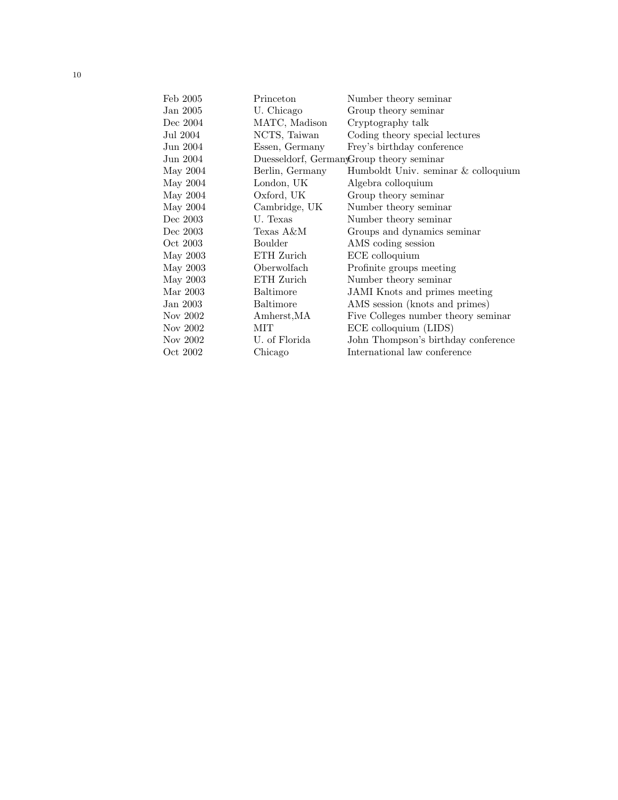| Feb 2005 | Princeton        | Number theory seminar                    |
|----------|------------------|------------------------------------------|
| Jan 2005 | U. Chicago       | Group theory seminar                     |
| Dec 2004 | MATC, Madison    | Cryptography talk                        |
| Jul 2004 | NCTS, Taiwan     | Coding theory special lectures           |
| Jun 2004 | Essen, Germany   | Frey's birthday conference               |
| Jun 2004 |                  | Duesseldorf, GermanyGroup theory seminar |
| May 2004 | Berlin, Germany  | Humboldt Univ. seminar & colloquium      |
| May 2004 | London, UK       | Algebra colloquium                       |
| May 2004 | Oxford, UK       | Group theory seminar                     |
| May 2004 | Cambridge, UK    | Number theory seminar                    |
| Dec 2003 | U. Texas         | Number theory seminar                    |
| Dec 2003 | Texas A&M        | Groups and dynamics seminar              |
| Oct 2003 | Boulder          | AMS coding session                       |
| May 2003 | ETH Zurich       | ECE colloquium                           |
| May 2003 | Oberwolfach      | Profinite groups meeting                 |
| May 2003 | ETH Zurich       | Number theory seminar                    |
| Mar 2003 | <b>Baltimore</b> | <b>JAMI</b> Knots and primes meeting     |
| Jan 2003 | Baltimore        | AMS session (knots and primes)           |
| Nov 2002 | Amherst, MA      | Five Colleges number theory seminar      |
| Nov 2002 | MIT              | ECE colloquium (LIDS)                    |
| Nov 2002 | U. of Florida    | John Thompson's birthday conference      |
| Oct 2002 | Chicago          | International law conference             |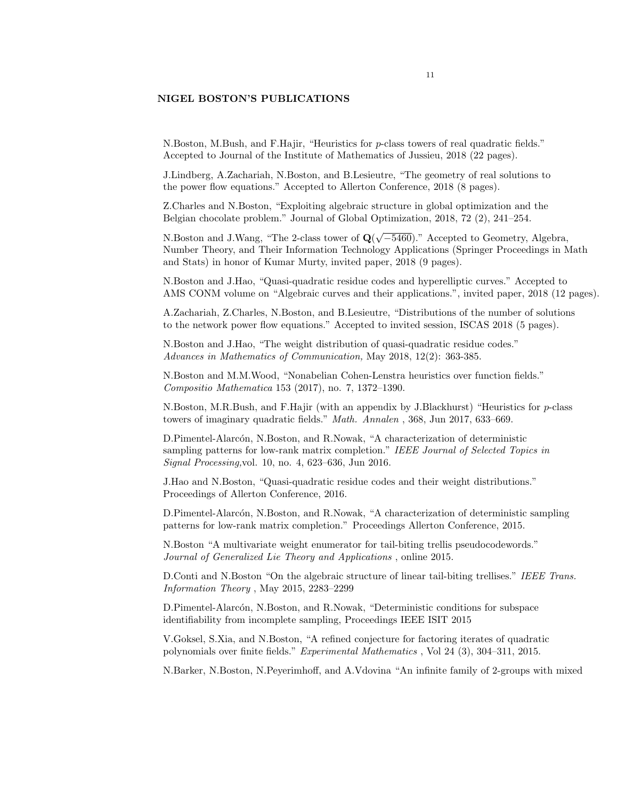## NIGEL BOSTON'S PUBLICATIONS

N.Boston, M.Bush, and F.Hajir, "Heuristics for p-class towers of real quadratic fields." Accepted to Journal of the Institute of Mathematics of Jussieu, 2018 (22 pages).

J.Lindberg, A.Zachariah, N.Boston, and B.Lesieutre, "The geometry of real solutions to the power flow equations." Accepted to Allerton Conference, 2018 (8 pages).

Z.Charles and N.Boston, "Exploiting algebraic structure in global optimization and the Belgian chocolate problem." Journal of Global Optimization, 2018, 72 (2), 241–254.

N.Boston and J.Wang, "The 2-class tower of  $Q($ √ −5460)." Accepted to Geometry, Algebra, Number Theory, and Their Information Technology Applications (Springer Proceedings in Math and Stats) in honor of Kumar Murty, invited paper, 2018 (9 pages).

N.Boston and J.Hao, "Quasi-quadratic residue codes and hyperelliptic curves." Accepted to AMS CONM volume on "Algebraic curves and their applications.", invited paper, 2018 (12 pages).

A.Zachariah, Z.Charles, N.Boston, and B.Lesieutre, "Distributions of the number of solutions to the network power flow equations." Accepted to invited session, ISCAS 2018 (5 pages).

N.Boston and J.Hao, "The weight distribution of quasi-quadratic residue codes." Advances in Mathematics of Communication, May 2018, 12(2): 363-385.

N.Boston and M.M.Wood, "Nonabelian Cohen-Lenstra heuristics over function fields." Compositio Mathematica 153 (2017), no. 7, 1372–1390.

N.Boston, M.R.Bush, and F.Hajir (with an appendix by J.Blackhurst) "Heuristics for p-class towers of imaginary quadratic fields." Math. Annalen , 368, Jun 2017, 633–669.

D.Pimentel-Alarcón, N.Boston, and R.Nowak, "A characterization of deterministic sampling patterns for low-rank matrix completion." IEEE Journal of Selected Topics in Signal Processing,vol. 10, no. 4, 623–636, Jun 2016.

J.Hao and N.Boston, "Quasi-quadratic residue codes and their weight distributions." Proceedings of Allerton Conference, 2016.

D.Pimentel-Alarcón, N.Boston, and R.Nowak, "A characterization of deterministic sampling patterns for low-rank matrix completion." Proceedings Allerton Conference, 2015.

N.Boston "A multivariate weight enumerator for tail-biting trellis pseudocodewords." Journal of Generalized Lie Theory and Applications , online 2015.

D.Conti and N.Boston "On the algebraic structure of linear tail-biting trellises." IEEE Trans. Information Theory , May 2015, 2283–2299

D.Pimentel-Alarcón, N.Boston, and R.Nowak, "Deterministic conditions for subspace identifiability from incomplete sampling, Proceedings IEEE ISIT 2015

V.Goksel, S.Xia, and N.Boston, "A refined conjecture for factoring iterates of quadratic polynomials over finite fields." Experimental Mathematics , Vol 24 (3), 304–311, 2015.

N.Barker, N.Boston, N.Peyerimhoff, and A.Vdovina "An infinite family of 2-groups with mixed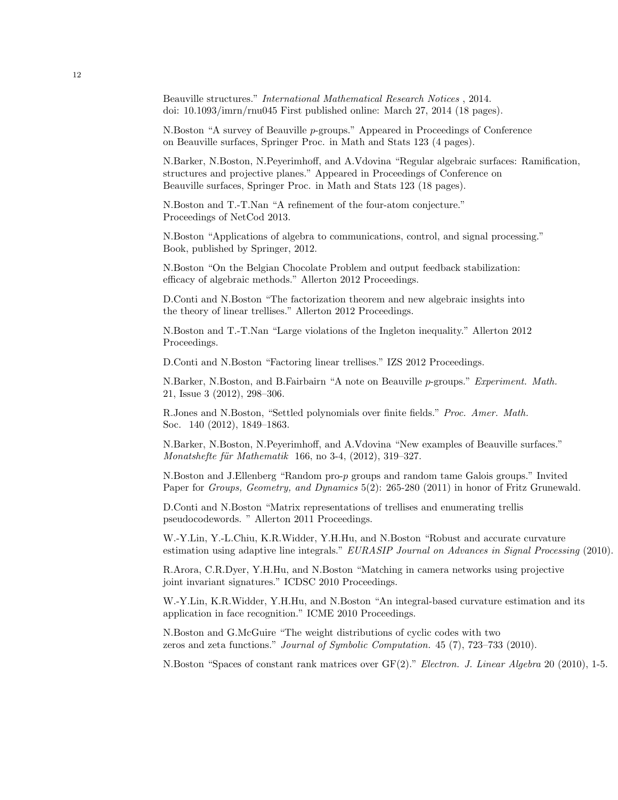Beauville structures." International Mathematical Research Notices , 2014. doi: 10.1093/imrn/rnu045 First published online: March 27, 2014 (18 pages).

N.Boston "A survey of Beauville p-groups." Appeared in Proceedings of Conference on Beauville surfaces, Springer Proc. in Math and Stats 123 (4 pages).

N.Barker, N.Boston, N.Peyerimhoff, and A.Vdovina "Regular algebraic surfaces: Ramification, structures and projective planes." Appeared in Proceedings of Conference on Beauville surfaces, Springer Proc. in Math and Stats 123 (18 pages).

N.Boston and T.-T.Nan "A refinement of the four-atom conjecture." Proceedings of NetCod 2013.

N.Boston "Applications of algebra to communications, control, and signal processing." Book, published by Springer, 2012.

N.Boston "On the Belgian Chocolate Problem and output feedback stabilization: efficacy of algebraic methods." Allerton 2012 Proceedings.

D.Conti and N.Boston "The factorization theorem and new algebraic insights into the theory of linear trellises." Allerton 2012 Proceedings.

N.Boston and T.-T.Nan "Large violations of the Ingleton inequality." Allerton 2012 Proceedings.

D.Conti and N.Boston "Factoring linear trellises." IZS 2012 Proceedings.

N.Barker, N.Boston, and B.Fairbairn "A note on Beauville p-groups." Experiment. Math. 21, Issue 3 (2012), 298–306.

R.Jones and N.Boston, "Settled polynomials over finite fields." Proc. Amer. Math. Soc. 140 (2012), 1849–1863.

N.Barker, N.Boston, N.Peyerimhoff, and A.Vdovina "New examples of Beauville surfaces." Monatshefte für Mathematik 166, no 3-4,  $(2012)$ , 319–327.

N.Boston and J.Ellenberg "Random pro-p groups and random tame Galois groups." Invited Paper for *Groups, Geometry, and Dynamics* 5(2): 265-280 (2011) in honor of Fritz Grunewald.

D.Conti and N.Boston "Matrix representations of trellises and enumerating trellis pseudocodewords. " Allerton 2011 Proceedings.

W.-Y.Lin, Y.-L.Chiu, K.R.Widder, Y.H.Hu, and N.Boston "Robust and accurate curvature estimation using adaptive line integrals." EURASIP Journal on Advances in Signal Processing (2010).

R.Arora, C.R.Dyer, Y.H.Hu, and N.Boston "Matching in camera networks using projective joint invariant signatures." ICDSC 2010 Proceedings.

W.-Y.Lin, K.R.Widder, Y.H.Hu, and N.Boston "An integral-based curvature estimation and its application in face recognition." ICME 2010 Proceedings.

N.Boston and G.McGuire "The weight distributions of cyclic codes with two zeros and zeta functions." Journal of Symbolic Computation. 45 (7), 723–733 (2010).

N.Boston "Spaces of constant rank matrices over GF(2)." Electron. J. Linear Algebra 20 (2010), 1-5.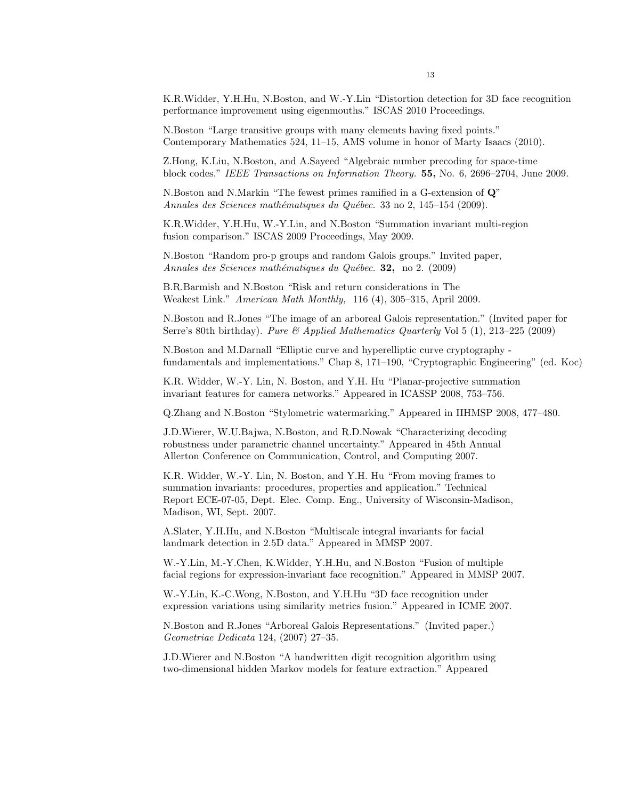K.R.Widder, Y.H.Hu, N.Boston, and W.-Y.Lin "Distortion detection for 3D face recognition performance improvement using eigenmouths." ISCAS 2010 Proceedings.

N.Boston "Large transitive groups with many elements having fixed points." Contemporary Mathematics 524, 11–15, AMS volume in honor of Marty Isaacs (2010).

Z.Hong, K.Liu, N.Boston, and A.Sayeed "Algebraic number precoding for space-time block codes." IEEE Transactions on Information Theory. 55, No. 6, 2696–2704, June 2009.

N.Boston and N.Markin "The fewest primes ramified in a G-extension of Q" Annales des Sciences mathématiques du Québec. 33 no 2, 145–154 (2009).

K.R.Widder, Y.H.Hu, W.-Y.Lin, and N.Boston "Summation invariant multi-region fusion comparison." ISCAS 2009 Proceedings, May 2009.

N.Boston "Random pro-p groups and random Galois groups." Invited paper, Annales des Sciences mathématiques du Québec. **32**, no 2. (2009)

B.R.Barmish and N.Boston "Risk and return considerations in The Weakest Link." American Math Monthly, 116 (4), 305–315, April 2009.

N.Boston and R.Jones "The image of an arboreal Galois representation." (Invited paper for Serre's 80th birthday). Pure  $\mathcal B$  Applied Mathematics Quarterly Vol 5 (1), 213–225 (2009)

N.Boston and M.Darnall "Elliptic curve and hyperelliptic curve cryptography fundamentals and implementations." Chap 8, 171–190, "Cryptographic Engineering" (ed. Koc)

K.R. Widder, W.-Y. Lin, N. Boston, and Y.H. Hu "Planar-projective summation invariant features for camera networks." Appeared in ICASSP 2008, 753–756.

Q.Zhang and N.Boston "Stylometric watermarking." Appeared in IIHMSP 2008, 477–480.

J.D.Wierer, W.U.Bajwa, N.Boston, and R.D.Nowak "Characterizing decoding robustness under parametric channel uncertainty." Appeared in 45th Annual Allerton Conference on Communication, Control, and Computing 2007.

K.R. Widder, W.-Y. Lin, N. Boston, and Y.H. Hu "From moving frames to summation invariants: procedures, properties and application." Technical Report ECE-07-05, Dept. Elec. Comp. Eng., University of Wisconsin-Madison, Madison, WI, Sept. 2007.

A.Slater, Y.H.Hu, and N.Boston "Multiscale integral invariants for facial landmark detection in 2.5D data." Appeared in MMSP 2007.

W.-Y.Lin, M.-Y.Chen, K.Widder, Y.H.Hu, and N.Boston "Fusion of multiple facial regions for expression-invariant face recognition." Appeared in MMSP 2007.

W.-Y.Lin, K.-C.Wong, N.Boston, and Y.H.Hu "3D face recognition under expression variations using similarity metrics fusion." Appeared in ICME 2007.

N.Boston and R.Jones "Arboreal Galois Representations." (Invited paper.) Geometriae Dedicata 124, (2007) 27–35.

J.D.Wierer and N.Boston "A handwritten digit recognition algorithm using two-dimensional hidden Markov models for feature extraction." Appeared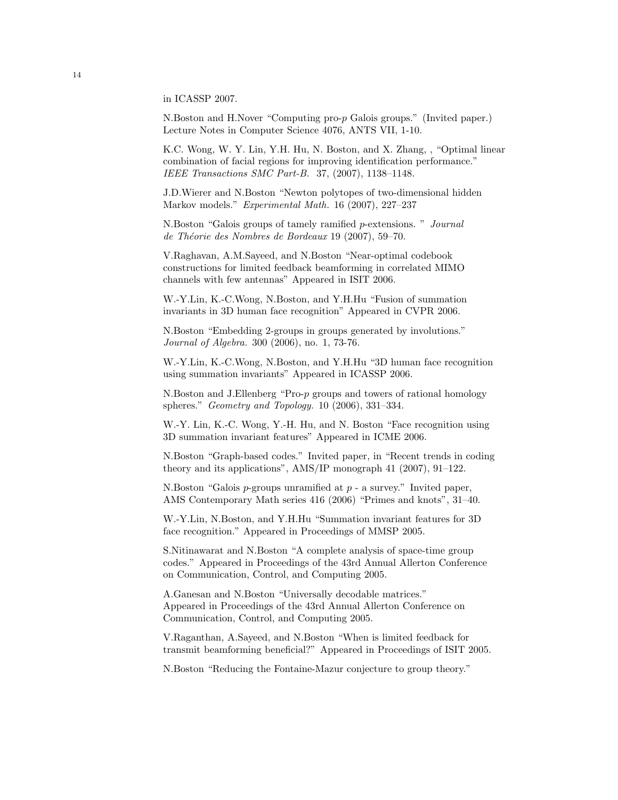in ICASSP 2007.

N.Boston and H.Nover "Computing pro-p Galois groups." (Invited paper.) Lecture Notes in Computer Science 4076, ANTS VII, 1-10.

K.C. Wong, W. Y. Lin, Y.H. Hu, N. Boston, and X. Zhang, , "Optimal linear combination of facial regions for improving identification performance." IEEE Transactions SMC Part-B. 37, (2007), 1138–1148.

J.D.Wierer and N.Boston "Newton polytopes of two-dimensional hidden Markov models." Experimental Math. 16 (2007), 227–237

N.Boston "Galois groups of tamely ramified p-extensions. " Journal de Théorie des Nombres de Bordeaux 19 (2007), 59–70.

V.Raghavan, A.M.Sayeed, and N.Boston "Near-optimal codebook constructions for limited feedback beamforming in correlated MIMO channels with few antennas" Appeared in ISIT 2006.

W.-Y.Lin, K.-C.Wong, N.Boston, and Y.H.Hu "Fusion of summation invariants in 3D human face recognition" Appeared in CVPR 2006.

N.Boston "Embedding 2-groups in groups generated by involutions." Journal of Algebra. 300 (2006), no. 1, 73-76.

W.-Y.Lin, K.-C.Wong, N.Boston, and Y.H.Hu "3D human face recognition using summation invariants" Appeared in ICASSP 2006.

N.Boston and J.Ellenberg "Pro-p groups and towers of rational homology spheres." Geometry and Topology. 10 (2006), 331–334.

W.-Y. Lin, K.-C. Wong, Y.-H. Hu, and N. Boston "Face recognition using 3D summation invariant features" Appeared in ICME 2006.

N.Boston "Graph-based codes." Invited paper, in "Recent trends in coding theory and its applications", AMS/IP monograph 41 (2007), 91–122.

N.Boston "Galois  $p$ -groups unramified at  $p$ -a survey." Invited paper, AMS Contemporary Math series 416 (2006) "Primes and knots", 31–40.

W.-Y.Lin, N.Boston, and Y.H.Hu "Summation invariant features for 3D face recognition." Appeared in Proceedings of MMSP 2005.

S.Nitinawarat and N.Boston "A complete analysis of space-time group codes." Appeared in Proceedings of the 43rd Annual Allerton Conference on Communication, Control, and Computing 2005.

A.Ganesan and N.Boston "Universally decodable matrices." Appeared in Proceedings of the 43rd Annual Allerton Conference on Communication, Control, and Computing 2005.

V.Raganthan, A.Sayeed, and N.Boston "When is limited feedback for transmit beamforming beneficial?" Appeared in Proceedings of ISIT 2005.

N.Boston "Reducing the Fontaine-Mazur conjecture to group theory."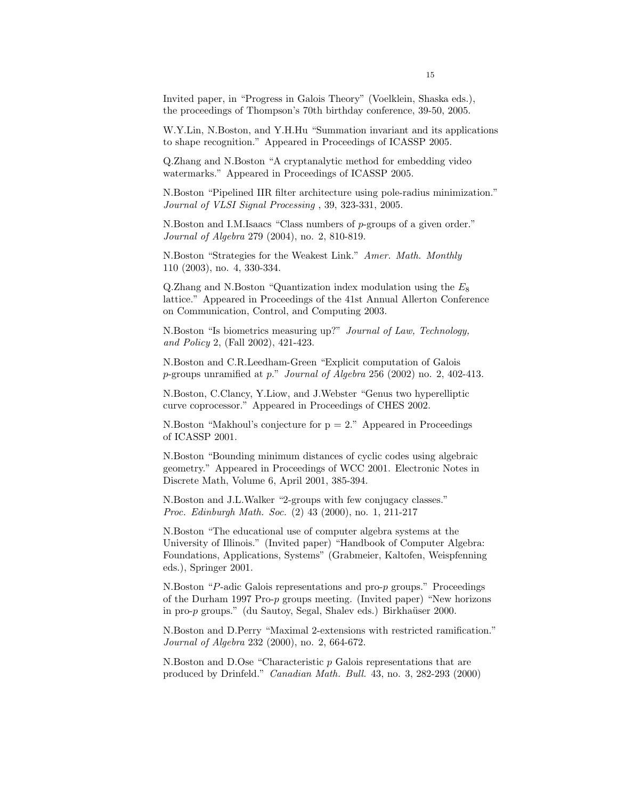Invited paper, in "Progress in Galois Theory" (Voelklein, Shaska eds.), the proceedings of Thompson's 70th birthday conference, 39-50, 2005.

W.Y.Lin, N.Boston, and Y.H.Hu "Summation invariant and its applications to shape recognition." Appeared in Proceedings of ICASSP 2005.

Q.Zhang and N.Boston "A cryptanalytic method for embedding video watermarks." Appeared in Proceedings of ICASSP 2005.

N.Boston "Pipelined IIR filter architecture using pole-radius minimization." Journal of VLSI Signal Processing , 39, 323-331, 2005.

N.Boston and I.M.Isaacs "Class numbers of p-groups of a given order." Journal of Algebra 279 (2004), no. 2, 810-819.

N.Boston "Strategies for the Weakest Link." Amer. Math. Monthly 110 (2003), no. 4, 330-334.

Q.Zhang and N.Boston "Quantization index modulation using the  $E_8$ lattice." Appeared in Proceedings of the 41st Annual Allerton Conference on Communication, Control, and Computing 2003.

N.Boston "Is biometrics measuring up?" Journal of Law, Technology, and Policy 2, (Fall 2002), 421-423.

N.Boston and C.R.Leedham-Green "Explicit computation of Galois p-groups unramified at p." Journal of Algebra 256 (2002) no. 2, 402-413.

N.Boston, C.Clancy, Y.Liow, and J.Webster "Genus two hyperelliptic curve coprocessor." Appeared in Proceedings of CHES 2002.

N.Boston "Makhoul's conjecture for  $p = 2$ ." Appeared in Proceedings of ICASSP 2001.

N.Boston "Bounding minimum distances of cyclic codes using algebraic geometry." Appeared in Proceedings of WCC 2001. Electronic Notes in Discrete Math, Volume 6, April 2001, 385-394.

N.Boston and J.L.Walker "2-groups with few conjugacy classes." Proc. Edinburgh Math. Soc. (2) 43 (2000), no. 1, 211-217

N.Boston "The educational use of computer algebra systems at the University of Illinois." (Invited paper) "Handbook of Computer Algebra: Foundations, Applications, Systems" (Grabmeier, Kaltofen, Weispfenning eds.), Springer 2001.

N.Boston "P-adic Galois representations and pro-p groups." Proceedings of the Durham 1997 Pro-p groups meeting. (Invited paper) "New horizons in pro-p groups." (du Sautoy, Segal, Shalev eds.) Birkhaüser 2000.

N.Boston and D.Perry "Maximal 2-extensions with restricted ramification." Journal of Algebra 232 (2000), no. 2, 664-672.

N.Boston and D.Ose "Characteristic p Galois representations that are produced by Drinfeld." Canadian Math. Bull. 43, no. 3, 282-293 (2000)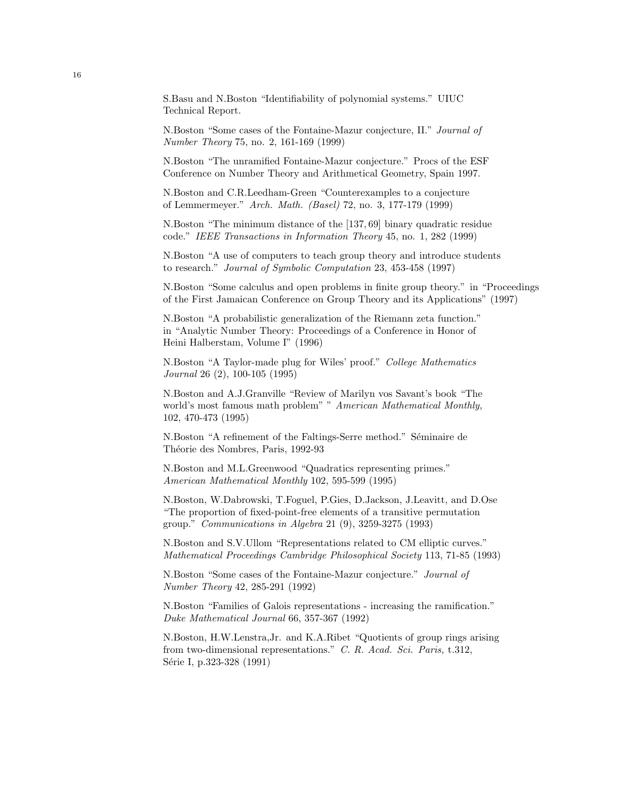S.Basu and N.Boston "Identifiability of polynomial systems." UIUC Technical Report.

N.Boston "Some cases of the Fontaine-Mazur conjecture, II." Journal of Number Theory 75, no. 2, 161-169 (1999)

N.Boston "The unramified Fontaine-Mazur conjecture." Procs of the ESF Conference on Number Theory and Arithmetical Geometry, Spain 1997.

N.Boston and C.R.Leedham-Green "Counterexamples to a conjecture of Lemmermeyer." Arch. Math. (Basel) 72, no. 3, 177-179 (1999)

N.Boston "The minimum distance of the [137, 69] binary quadratic residue code." IEEE Transactions in Information Theory 45, no. 1, 282 (1999)

N.Boston "A use of computers to teach group theory and introduce students to research." Journal of Symbolic Computation 23, 453-458 (1997)

N.Boston "Some calculus and open problems in finite group theory." in "Proceedings of the First Jamaican Conference on Group Theory and its Applications" (1997)

N.Boston "A probabilistic generalization of the Riemann zeta function." in "Analytic Number Theory: Proceedings of a Conference in Honor of Heini Halberstam, Volume I" (1996)

N.Boston "A Taylor-made plug for Wiles' proof." College Mathematics Journal 26 (2), 100-105 (1995)

N.Boston and A.J.Granville "Review of Marilyn vos Savant's book "The world's most famous math problem" " American Mathematical Monthly, 102, 470-473 (1995)

N.Boston "A refinement of the Faltings-Serre method." Séminaire de Théorie des Nombres, Paris, 1992-93

N.Boston and M.L.Greenwood "Quadratics representing primes." American Mathematical Monthly 102, 595-599 (1995)

N.Boston, W.Dabrowski, T.Foguel, P.Gies, D.Jackson, J.Leavitt, and D.Ose "The proportion of fixed-point-free elements of a transitive permutation group." Communications in Algebra 21 (9), 3259-3275 (1993)

N.Boston and S.V.Ullom "Representations related to CM elliptic curves." Mathematical Proceedings Cambridge Philosophical Society 113, 71-85 (1993)

N.Boston "Some cases of the Fontaine-Mazur conjecture." Journal of Number Theory 42, 285-291 (1992)

N.Boston "Families of Galois representations - increasing the ramification." Duke Mathematical Journal 66, 357-367 (1992)

N.Boston, H.W.Lenstra,Jr. and K.A.Ribet "Quotients of group rings arising from two-dimensional representations." C. R. Acad. Sci. Paris, t.312, Série I, p.323-328 (1991)